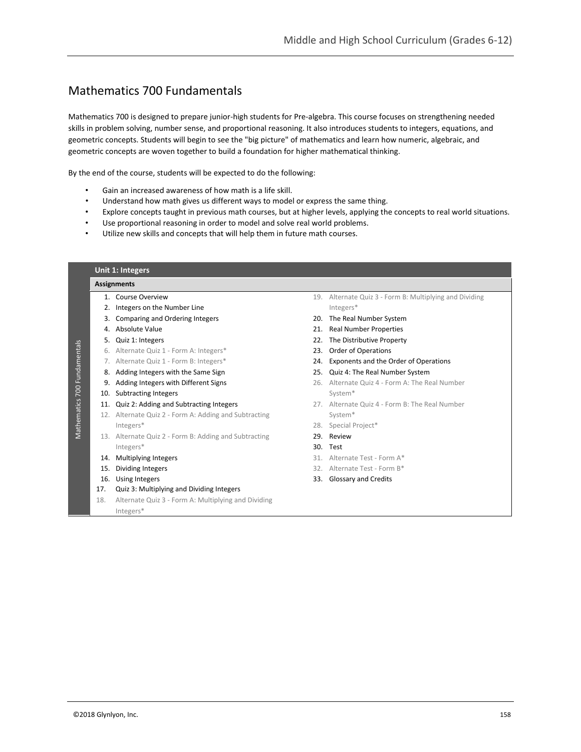# Mathematics 700 Fundamentals

Mathematics 700 is designed to prepare junior-high students for Pre-algebra. This course focuses on strengthening needed skills in problem solving, number sense, and proportional reasoning. It also introduces students to integers, equations, and geometric concepts. Students will begin to see the "big picture" of mathematics and learn how numeric, algebraic, and geometric concepts are woven together to build a foundation for higher mathematical thinking.

By the end of the course, students will be expected to do the following:

- Gain an increased awareness of how math is a life skill.
- Understand how math gives us different ways to model or express the same thing.
- Explore concepts taught in previous math courses, but at higher levels, applying the concepts to real world situations.
- Use proportional reasoning in order to model and solve real world problems.
- Utilize new skills and concepts that will help them in future math courses.

|                                 |     | Unit 1: Integers                                    |                               |                                                     |  |  |  |  |
|---------------------------------|-----|-----------------------------------------------------|-------------------------------|-----------------------------------------------------|--|--|--|--|
|                                 |     | <b>Assignments</b>                                  |                               |                                                     |  |  |  |  |
| 700 Fundamentals<br>Mathematics |     | 1. Course Overview                                  | 19.                           | Alternate Quiz 3 - Form B: Multiplying and Dividing |  |  |  |  |
|                                 |     | Integers on the Number Line                         |                               | Integers*                                           |  |  |  |  |
|                                 |     | 3. Comparing and Ordering Integers                  |                               | The Real Number System                              |  |  |  |  |
|                                 |     | 4. Absolute Value                                   |                               | 21. Real Number Properties                          |  |  |  |  |
|                                 | 5.  | Quiz 1: Integers                                    | 22. The Distributive Property |                                                     |  |  |  |  |
|                                 |     | 6. Alternate Quiz 1 - Form A: Integers*             | 23.                           | <b>Order of Operations</b>                          |  |  |  |  |
|                                 |     | 7. Alternate Quiz 1 - Form B: Integers*             |                               | 24. Exponents and the Order of Operations           |  |  |  |  |
|                                 |     | 8. Adding Integers with the Same Sign               |                               | 25. Quiz 4: The Real Number System                  |  |  |  |  |
|                                 | 9.  | Adding Integers with Different Signs                | 26.                           | Alternate Quiz 4 - Form A: The Real Number          |  |  |  |  |
|                                 | 10. | <b>Subtracting Integers</b>                         |                               | System*                                             |  |  |  |  |
|                                 | 11. | Quiz 2: Adding and Subtracting Integers             |                               | 27. Alternate Quiz 4 - Form B: The Real Number      |  |  |  |  |
|                                 | 12. | Alternate Quiz 2 - Form A: Adding and Subtracting   |                               | System*                                             |  |  |  |  |
|                                 |     | Integers*                                           |                               | 28. Special Project*                                |  |  |  |  |
|                                 | 13. | Alternate Quiz 2 - Form B: Adding and Subtracting   |                               | 29. Review                                          |  |  |  |  |
|                                 |     | Integers*                                           |                               | 30. Test                                            |  |  |  |  |
|                                 | 14. | Multiplying Integers                                |                               | 31. Alternate Test - Form A*                        |  |  |  |  |
|                                 | 15. | Dividing Integers                                   |                               | 32. Alternate Test - Form B*                        |  |  |  |  |
|                                 | 16. | Using Integers                                      |                               | 33. Glossary and Credits                            |  |  |  |  |
|                                 | 17. | Quiz 3: Multiplying and Dividing Integers           |                               |                                                     |  |  |  |  |
|                                 | 18. | Alternate Quiz 3 - Form A: Multiplying and Dividing |                               |                                                     |  |  |  |  |
|                                 |     | Integers*                                           |                               |                                                     |  |  |  |  |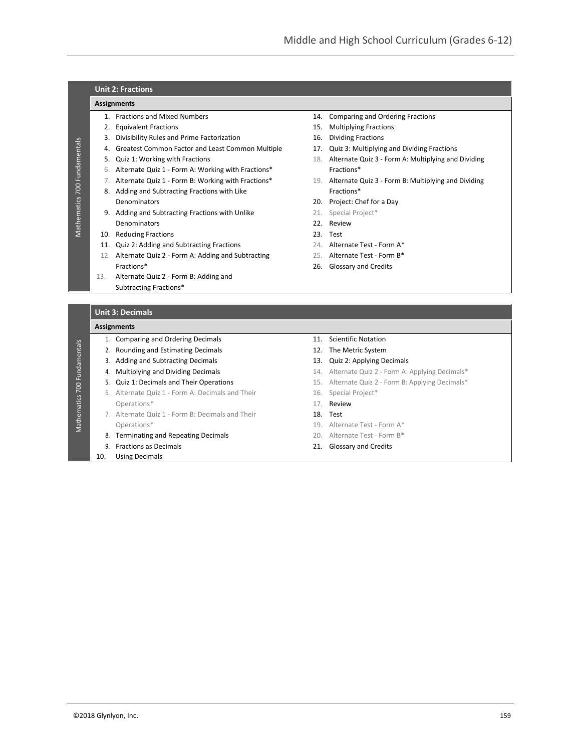## **Unit 2: Fractions**

#### **Assignments**

Mathematics 700 Fundamentals

Mathematics 700 Fundamentals

Mathematics 700 Fundamentals

Mathematics 700 Fundamentals

- 
- 
- 3. Divisibility Rules and Prime Factorization 16. Dividing Fractions
- 4. Greatest Common Factor and Least Common Multiple 17. Quiz 3: Multiplying and Dividing Fractions
- 
- 6. Alternate Quiz 1 Form A: Working with Fractions\* Fractions\*
- 
- 8. Adding and Subtracting Fractions with Like Fractions\* Fractions\* Denominators 20. Project: Chef for a Day
- 9. Adding and Subtracting Fractions with Unlike 21. Special Project\* Denominators 22. Review
- 10. Reducing Fractions 23. Test
- 11. Quiz 2: Adding and Subtracting Fractions 24. Alternate Test Form A\*
- 12. Alternate Quiz 2 Form A: Adding and Subtracting 25. Alternate Test Form B\* Fractions\* 26. Glossary and Credits
- 13. Alternate Quiz 2 Form B: Adding and Subtracting Fractions\*
- **Unit 3: Decimals**

#### **Assignments**

- 1. Comparing and Ordering Decimals 11. Scientific Notation
- 2. Rounding and Estimating Decimals 12. The Metric System
- 3. Adding and Subtracting Decimals 13. Quiz 2: Applying Decimals
- 
- 
- 6. Alternate Quiz 1 Form A: Decimals and Their 16. Special Project\* Operations\* 17. Review
- 7. Alternate Quiz 1 Form B: Decimals and Their 18. Test Operations\* 19. Alternate Test - Form A\*
- 8. Terminating and Repeating Decimals 20. Alternate Test Form B\*
- 9. Fractions as Decimals 21. Glossary and Credits
- 10. Using Decimals
- 1. Fractions and Mixed Numbers 14. Comparing and Ordering Fractions
- 2. Equivalent Fractions 15. Multiplying Fractions
	-
	-
- 5. Quiz 1: Working with Fractions 18. Alternate Quiz 3 Form A: Multiplying and Dividing
- 7. Alternate Quiz 1 Form B: Working with Fractions\* 19. Alternate Quiz 3 Form B: Multiplying and Dividing
	-
	-
	-
	-
	-
	-
	-
	-
	-
	-
- 4. Multiplying and Dividing Decimals 14. Alternate Quiz 2 Form A: Applying Decimals\*
- 5. Quiz 1: Decimals and Their Operations 15. Alternate Quiz 2 Form B: Applying Decimals\*
	-
	-
	-
	-
	-
	-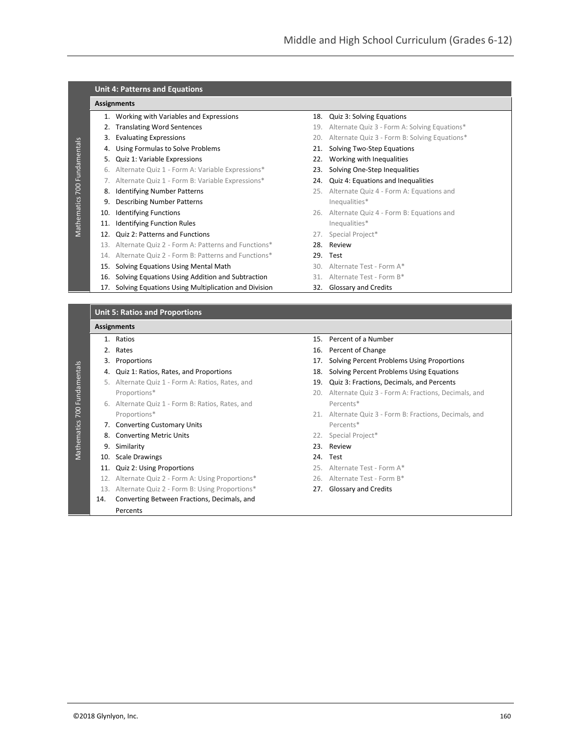| ſ      |
|--------|
| l<br>í |
| í<br>í |
|        |
|        |
|        |
|        |
|        |
|        |
|        |
|        |
|        |
|        |
|        |
|        |
|        |
|        |
|        |
|        |
|        |

Mathematics 700 Fundamentals

**Mathematics 700 Fundamentals** 

#### **Unit 4: Patterns and Equations**

#### **Assignments**

- 1. Working with Variables and Expressions 18. Quiz 3: Solving Equations
- 
- 
- 4. Using Formulas to Solve Problems 21. Solving Two-Step Equations
- 5. Quiz 1: Variable Expressions 22. Working with Inequalities
- 6. Alternate Quiz 1 Form A: Variable Expressions\* 23. Solving One-Step Inequalities
- 7. Alternate Quiz 1 Form B: Variable Expressions\* 24. Quiz 4: Equations and Inequalities
- 
- 9. Describing Number Patterns **Internally and Security** Inequalities\*
- 
- 11. Identifying Function Rules **Internalisal Executive Contracts** Inequalities\*
- 12. Quiz 2: Patterns and Functions 27. Special Project\*
- 13. Alternate Quiz 2 Form A: Patterns and Functions\* 28. Review
- 14. Alternate Quiz 2 Form B: Patterns and Functions\* 29. Test
- 15. Solving Equations Using Mental Math 30. Alternate Test Form A\*
- 16. Solving Equations Using Addition and Subtraction 31. Alternate Test Form B\*
- 17. Solving Equations Using Multiplication and Division 32. Glossary and Credits

### **Unit 5: Ratios and Proportions**

#### **Assignments**

- 
- 
- 
- 
- 5. Alternate Quiz 1 Form A: Ratios, Rates, and 19. Quiz 3: Fractions, Decimals, and Percents
- 6. Alternate Quiz 1 Form B: Ratios, Rates, and Percents\*
- 7. Converting Customary Units **Percents Percents Percents Percents**
- 8. Converting Metric Units **22. Special Project**\*
- 9. Similarity 23. Review
- 10. Scale Drawings 24. Test
- 
- 
- 13. Alternate Quiz 2 Form B: Using Proportions\* 27. Glossary and Credits
- 
- 14. Converting Between Fractions, Decimals, and Percents
- 
- 2. Translating Word Sentences 19. Alternate Quiz 3 Form A: Solving Equations\*
- 3. Evaluating Expressions **20. Alternate Quiz 3 Form B: Solving Equations**\*
	-
	-
	-
	-
- 8. Identifying Number Patterns 25. Alternate Quiz 4 Form A: Equations and
- 10. Identifying Functions 26. Alternate Quiz 4 Form B: Equations and
	-
	-
	-
	-
	-
	-
- 1. Ratios 15. Percent of a Number
- 2. Rates 2. Percent of Change 2. Percent of Change
- 3. Proportions 17. Solving Percent Problems Using Proportions
- 4. Quiz 1: Ratios, Rates, and Proportions 18. Solving Percent Problems Using Equations
	-
	- Proportions\* 20. Alternate Quiz 3 Form A: Fractions, Decimals, and
	- Proportions\* 21. Alternate Quiz 3 Form B: Fractions, Decimals, and
		-
		-
		-
- 11. Quiz 2: Using Proportions 25. Alternate Test Form A\*
- 12. Alternate Quiz 2 Form A: Using Proportions\* 26. Alternate Test Form B\*
	-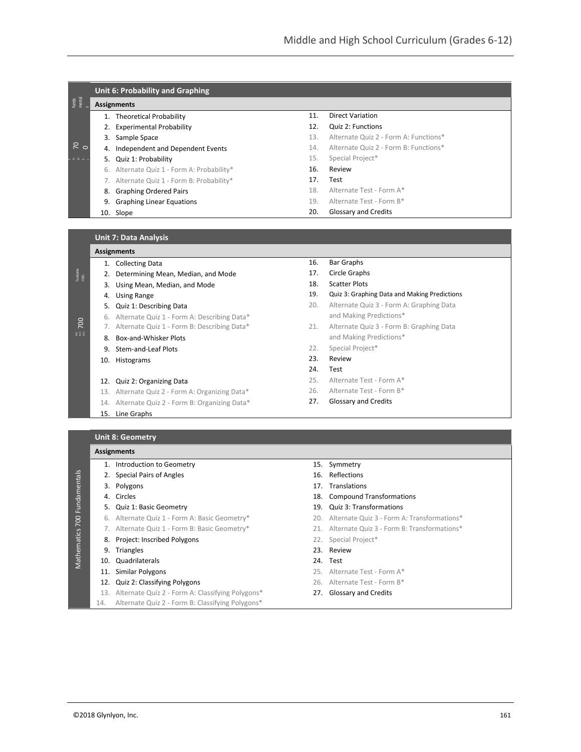|                 |    | Unit 6: Probability and Graphing        |     |                                       |  |  |  |
|-----------------|----|-----------------------------------------|-----|---------------------------------------|--|--|--|
| Funda<br>mental |    | <b>Assignments</b>                      |     |                                       |  |  |  |
|                 | 1. | Theoretical Probability                 | 11. | Direct Variation                      |  |  |  |
|                 |    | <b>Experimental Probability</b>         | 12. | Quiz 2: Functions                     |  |  |  |
|                 | 3. | Sample Space                            | 13. | Alternate Quiz 2 - Form A: Functions* |  |  |  |
| $\frac{1}{6}$   | 4. | Independent and Dependent Events        | 14. | Alternate Quiz 2 - Form B: Functions* |  |  |  |
| .               |    | 5. Quiz 1: Probability                  | 15. | Special Project*                      |  |  |  |
|                 | 6. | Alternate Quiz 1 - Form A: Probability* | 16. | Review                                |  |  |  |
|                 |    | Alternate Quiz 1 - Form B: Probability* | 17. | Test                                  |  |  |  |
|                 | 8. | <b>Graphing Ordered Pairs</b>           | 18. | Alternate Test - Form A*              |  |  |  |
|                 | 9. | <b>Graphing Linear Equations</b>        | 19. | Alternate Test - Form B*              |  |  |  |
|                 |    | 10. Slope                               | 20. | Glossary and Credits                  |  |  |  |
|                 |    |                                         |     |                                       |  |  |  |

#### **Unit 7: Data Analysis**

|                  | <b>Assignments</b>                             |                                                 |  |  |  |
|------------------|------------------------------------------------|-------------------------------------------------|--|--|--|
|                  |                                                | 1. Collecting Data                              |  |  |  |
| Fundame<br>ntals | 2.                                             | Determining Mean, Median, and Mode              |  |  |  |
|                  | 3.                                             | Using Mean, Median, and Mode                    |  |  |  |
|                  | 4.                                             | <b>Using Range</b>                              |  |  |  |
|                  |                                                | 5. Quiz 1: Describing Data                      |  |  |  |
|                  |                                                | 6. Alternate Quiz 1 - Form A: Describing Data*  |  |  |  |
| 700              | 7. Alternate Quiz 1 - Form B: Describing Data* |                                                 |  |  |  |
| 美景景              |                                                | 8. Box-and-Whisker Plots                        |  |  |  |
|                  |                                                | 9. Stem-and-Leaf Plots                          |  |  |  |
|                  |                                                | 10. Histograms                                  |  |  |  |
|                  |                                                |                                                 |  |  |  |
|                  |                                                | 12. Quiz 2: Organizing Data                     |  |  |  |
|                  |                                                | 13. Alternate Quiz 2 - Form A: Organizing Data* |  |  |  |
|                  |                                                | 14. Alternate Quiz 2 - Form B: Organizing Data* |  |  |  |
|                  |                                                | 15. Line Graphs                                 |  |  |  |

- 16. Bar Graphs
- 17. Circle Graphs
- 18. Scatter Plots
- 19. Quiz 3: Graphing Data and Making Predictions 20. Alternate Quiz 3 - Form A: Graphing Data
- and Making Predictions\*
- 21. Alternate Quiz 3 Form B: Graphing Data and Making Predictions\*
- 22. Special Project\*
- 23. Review
- 24. Test
- 25. Alternate Test Form A\*
- 26. Alternate Test Form B\*
- 27. Glossary and Credits

### **Unit 8: Geometry Assignments**

- 2. Special Pairs of Angles 16. Reflections
	-
	-

Mathematics 700 Fundamentals

Mathematics 700 Fundamentals

- 5. Quiz 1: Basic Geometry 19. Quiz 3: Transformations
- 
- 
- 8. Project: Inscribed Polygons 22. Special Project\*
- 
- 10. Quadrilaterals 24. Test
- 
- 
- 
- 14. Alternate Quiz 2 Form B: Classifying Polygons\*
- 1. Introduction to Geometry **15. Symmetry** 
	-
- 3. Polygons 17. Translations
- 4. Circles 18. Compound Transformations
	-
- 6. Alternate Quiz 1 Form A: Basic Geometry\* 20. Alternate Quiz 3 Form A: Transformations\*
- 7. Alternate Quiz 1 Form B: Basic Geometry\* 21. Alternate Quiz 3 Form B: Transformations\*
	-
- 9. Triangles 23. Review
	-
- 11. Similar Polygons 25. Alternate Test Form A\*
- 12. Quiz 2: Classifying Polygons 26. Alternate Test Form B\*
- 13. Alternate Quiz 2 Form A: Classifying Polygons\* 27. Glossary and Credits